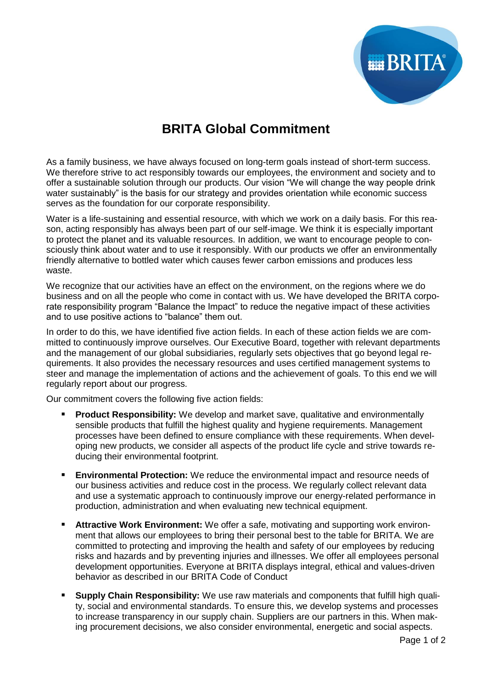

## **BRITA Global Commitment**

As a family business, we have always focused on long-term goals instead of short-term success. We therefore strive to act responsibly towards our employees, the environment and society and to offer a sustainable solution through our products. Our vision "We will change the way people drink water sustainably" is the basis for our strategy and provides orientation while economic success serves as the foundation for our corporate responsibility.

Water is a life-sustaining and essential resource, with which we work on a daily basis. For this reason, acting responsibly has always been part of our self-image. We think it is especially important to protect the planet and its valuable resources. In addition, we want to encourage people to consciously think about water and to use it responsibly. With our products we offer an environmentally friendly alternative to bottled water which causes fewer carbon emissions and produces less waste.

We recognize that our activities have an effect on the environment, on the regions where we do business and on all the people who come in contact with us. We have developed the BRITA corporate responsibility program "Balance the Impact" to reduce the negative impact of these activities and to use positive actions to "balance" them out.

In order to do this, we have identified five action fields. In each of these action fields we are committed to continuously improve ourselves. Our Executive Board, together with relevant departments and the management of our global subsidiaries, regularly sets objectives that go beyond legal requirements. It also provides the necessary resources and uses certified management systems to steer and manage the implementation of actions and the achievement of goals. To this end we will regularly report about our progress.

Our commitment covers the following five action fields:

- **Product Responsibility:** We develop and market save, qualitative and environmentally sensible products that fulfill the highest quality and hygiene requirements. Management processes have been defined to ensure compliance with these requirements. When developing new products, we consider all aspects of the product life cycle and strive towards reducing their environmental footprint.
- **Environmental Protection:** We reduce the environmental impact and resource needs of our business activities and reduce cost in the process. We regularly collect relevant data and use a systematic approach to continuously improve our energy-related performance in production, administration and when evaluating new technical equipment.
- **Attractive Work Environment:** We offer a safe, motivating and supporting work environment that allows our employees to bring their personal best to the table for BRITA. We are committed to protecting and improving the health and safety of our employees by reducing risks and hazards and by preventing injuries and illnesses. We offer all employees personal development opportunities. Everyone at BRITA displays integral, ethical and values-driven behavior as described in our BRITA Code of Conduct
- **Supply Chain Responsibility:** We use raw materials and components that fulfill high quality, social and environmental standards. To ensure this, we develop systems and processes to increase transparency in our supply chain. Suppliers are our partners in this. When making procurement decisions, we also consider environmental, energetic and social aspects.